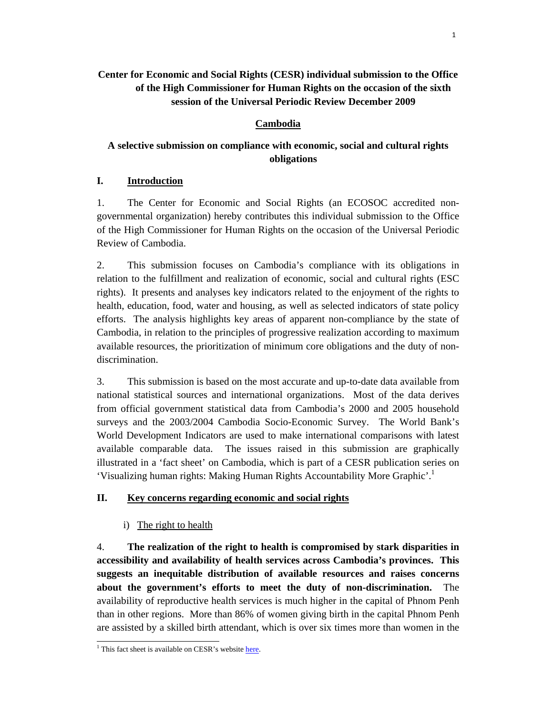# **Center for Economic and Social Rights (CESR) individual submission to the Office of the High Commissioner for Human Rights on the occasion of the sixth session of the Universal Periodic Review December 2009**

## **Cambodia**

# **A selective submission on compliance with economic, social and cultural rights obligations**

### **I. Introduction**

1. The Center for Economic and Social Rights (an ECOSOC accredited nongovernmental organization) hereby contributes this individual submission to the Office of the High Commissioner for Human Rights on the occasion of the Universal Periodic Review of Cambodia.

2. This submission focuses on Cambodia's compliance with its obligations in relation to the fulfillment and realization of economic, social and cultural rights (ESC rights). It presents and analyses key indicators related to the enjoyment of the rights to health, education, food, water and housing, as well as selected indicators of state policy efforts. The analysis highlights key areas of apparent non-compliance by the state of Cambodia, in relation to the principles of progressive realization according to maximum available resources, the prioritization of minimum core obligations and the duty of nondiscrimination.

3. This submission is based on the most accurate and up-to-date data available from national statistical sources and international organizations. Most of the data derives from official government statistical data from Cambodia's 2000 and 2005 household surveys and the 2003/2004 Cambodia Socio-Economic Survey. The World Bank's World Development Indicators are used to make international comparisons with latest available comparable data. The issues raised in this submission are graphically illustrated in a 'fact sheet' on Cambodia, which is part of a CESR publication series on 'Visualizing human rights: Making Human Rights Accountability More Graphic'.1

### **II. Key concerns regarding economic and social rights**

### i) The right to health

4. **The realization of the right to health is compromised by stark disparities in accessibility and availability of health services across Cambodia's provinces. This suggests an inequitable distribution of available resources and raises concerns about the government's efforts to meet the duty of non-discrimination.** The availability of reproductive health services is much higher in the capital of Phnom Penh than in other regions. More than 86% of women giving birth in the capital Phnom Penh are assisted by a skilled birth attendant, which is over six times more than women in the

<sup>&</sup>lt;sup>1</sup> This fact sheet is available on CESR's website here.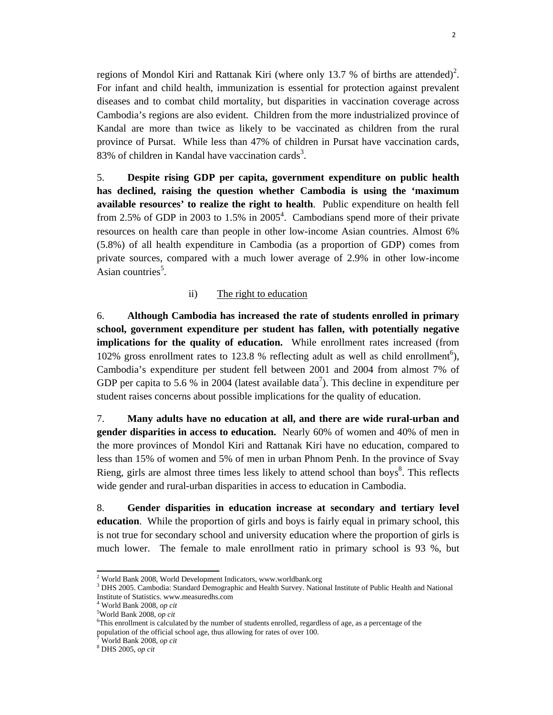regions of Mondol Kiri and Rattanak Kiri (where only 13.7 % of births are attended)<sup>2</sup>. For infant and child health, immunization is essential for protection against prevalent diseases and to combat child mortality, but disparities in vaccination coverage across Cambodia's regions are also evident. Children from the more industrialized province of Kandal are more than twice as likely to be vaccinated as children from the rural province of Pursat. While less than 47% of children in Pursat have vaccination cards, 83% of children in Kandal have vaccination cards<sup>3</sup>.

5. **Despite rising GDP per capita, government expenditure on public health has declined, raising the question whether Cambodia is using the 'maximum available resources' to realize the right to health**. Public expenditure on health fell from 2.5% of GDP in 2003 to  $1.5\%$  in 2005<sup>4</sup>. Cambodians spend more of their private resources on health care than people in other low-income Asian countries. Almost 6% (5.8%) of all health expenditure in Cambodia (as a proportion of GDP) comes from private sources, compared with a much lower average of 2.9% in other low-income Asian countries<sup>5</sup>.

### ii) The right to education

6. **Although Cambodia has increased the rate of students enrolled in primary school, government expenditure per student has fallen, with potentially negative implications for the quality of education.** While enrollment rates increased (from 102% gross enrollment rates to 123.8 % reflecting adult as well as child enrollment<sup>6</sup>), Cambodia's expenditure per student fell between 2001 and 2004 from almost 7% of GDP per capita to 5.6 % in 2004 (latest available data<sup>7</sup>). This decline in expenditure per student raises concerns about possible implications for the quality of education.

7. **Many adults have no education at all, and there are wide rural-urban and gender disparities in access to education.** Nearly 60% of women and 40% of men in the more provinces of Mondol Kiri and Rattanak Kiri have no education, compared to less than 15% of women and 5% of men in urban Phnom Penh. In the province of Svay Rieng, girls are almost three times less likely to attend school than boys<sup>8</sup>. This reflects wide gender and rural-urban disparities in access to education in Cambodia.

8. **Gender disparities in education increase at secondary and tertiary level education**. While the proportion of girls and boys is fairly equal in primary school, this is not true for secondary school and university education where the proportion of girls is much lower. The female to male enrollment ratio in primary school is 93 %, but

 $^2$  World Bank 2008, World Davelopmen <sup>2</sup> World Bank 2008, World Development Indicators, www.worldbank.org  $3 \text{ NMS}$  2005. Cambodia: Standard Demographic and Hoalth Survey, Natio

<sup>&</sup>lt;sup>3</sup> DHS 2005. Cambodia: Standard Demographic and Health Survey. National Institute of Public Health and National Institute of Statistics. www.measuredhs.com

<sup>&</sup>lt;sup>4</sup> World Bank 2008, *op cit*<br><sup>5</sup>World Bank 2008, an ait

World Bank 2008, *op cit* <sup>6</sup>

<sup>&</sup>lt;sup>6</sup>This enrollment is calculated by the number of students enrolled, regardless of age, as a percentage of the population of the official school age, thus allowing for rates of over 100.

<sup>7</sup> World Bank 2008, *op cit* <sup>8</sup>

DHS 2005, *op cit*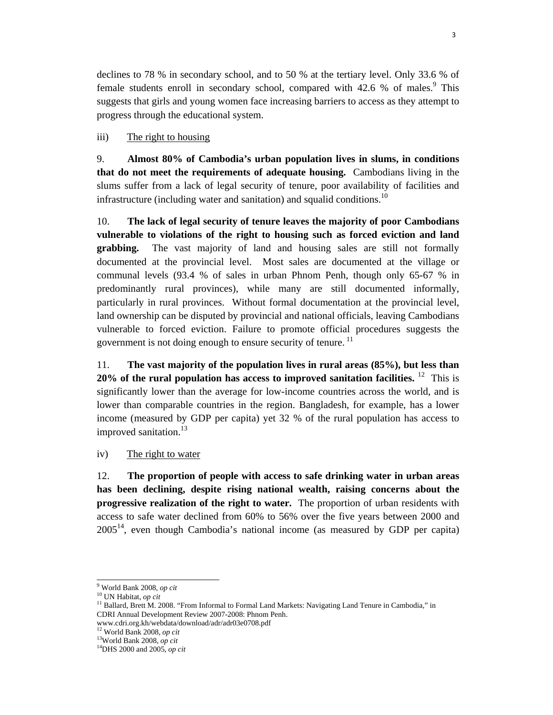declines to 78 % in secondary school, and to 50 % at the tertiary level. Only 33.6 % of female students enroll in secondary school, compared with  $42.6 \%$  of males.<sup>9</sup> This suggests that girls and young women face increasing barriers to access as they attempt to progress through the educational system.

### iii) The right to housing

9. **Almost 80% of Cambodia's urban population lives in slums, in conditions that do not meet the requirements of adequate housing.** Cambodians living in the slums suffer from a lack of legal security of tenure, poor availability of facilities and infrastructure (including water and sanitation) and squalid conditions.<sup>10</sup>

10. **The lack of legal security of tenure leaves the majority of poor Cambodians vulnerable to violations of the right to housing such as forced eviction and land grabbing.** The vast majority of land and housing sales are still not formally documented at the provincial level. Most sales are documented at the village or communal levels (93.4 % of sales in urban Phnom Penh, though only 65-67 % in predominantly rural provinces), while many are still documented informally, particularly in rural provinces. Without formal documentation at the provincial level, land ownership can be disputed by provincial and national officials, leaving Cambodians vulnerable to forced eviction. Failure to promote official procedures suggests the government is not doing enough to ensure security of tenure.<sup>11</sup>

11. **The vast majority of the population lives in rural areas (85%), but less than 20% of the rural population has access to improved sanitation facilities.** <sup>12</sup>This is significantly lower than the average for low-income countries across the world, and is lower than comparable countries in the region. Bangladesh, for example, has a lower income (measured by GDP per capita) yet 32 % of the rural population has access to improved sanitation.<sup>13</sup>

iv) The right to water

12. **The proportion of people with access to safe drinking water in urban areas has been declining, despite rising national wealth, raising concerns about the progressive realization of the right to water.** The proportion of urban residents with access to safe water declined from 60% to 56% over the five years between 2000 and  $2005<sup>14</sup>$ , even though Cambodia's national income (as measured by GDP per capita)

<sup>&</sup>lt;sup>9</sup> World Bank 2008, op cit

<sup>&</sup>lt;sup>10</sup> UN Habitat, *op cit*<br><sup>11</sup> Ballard, Brett M. 2008. "From Informal to Formal Land Markets: Navigating Land Tenure in Cambodia," in CDRI Annual Development Review 2007-2008: Phnom Penh.

www.cdri.org.kh/webdata/download/adr/adr03e0708.pdf $^{12}$  World Bank 2008,  $op\; cit$ 

<sup>&</sup>lt;sup>13</sup> World Bank 2008, *op cit*<br><sup>14</sup> DHS 2000 and 2005, *op cit*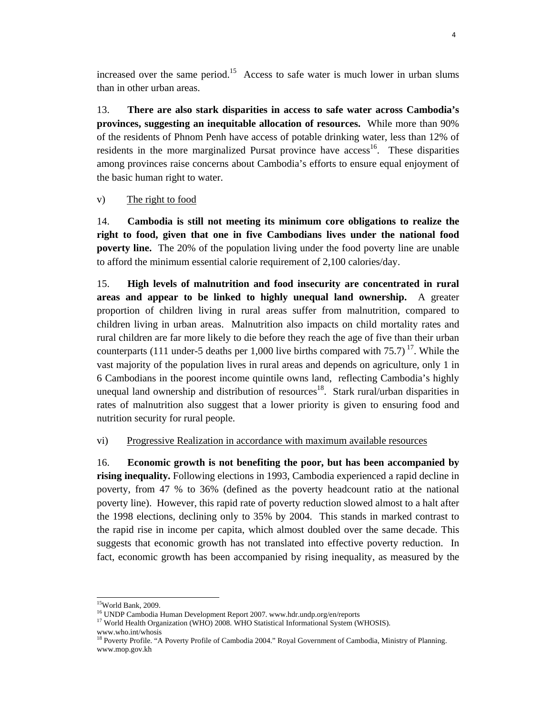increased over the same period.<sup>15</sup> Access to safe water is much lower in urban slums than in other urban areas.

13. **There are also stark disparities in access to safe water across Cambodia's provinces, suggesting an inequitable allocation of resources.** While more than 90% of the residents of Phnom Penh have access of potable drinking water, less than 12% of residents in the more marginalized Pursat province have access<sup>16</sup>. These disparities among provinces raise concerns about Cambodia's efforts to ensure equal enjoyment of the basic human right to water.

### v) The right to food

14. **Cambodia is still not meeting its minimum core obligations to realize the right to food, given that one in five Cambodians lives under the national food poverty line.** The 20% of the population living under the food poverty line are unable to afford the minimum essential calorie requirement of 2,100 calories/day.

15. **High levels of malnutrition and food insecurity are concentrated in rural areas and appear to be linked to highly unequal land ownership.** A greater proportion of children living in rural areas suffer from malnutrition, compared to children living in urban areas. Malnutrition also impacts on child mortality rates and rural children are far more likely to die before they reach the age of five than their urban counterparts (111 under-5 deaths per 1,000 live births compared with  $75.7$ )<sup>17</sup>. While the vast majority of the population lives in rural areas and depends on agriculture, only 1 in 6 Cambodians in the poorest income quintile owns land, reflecting Cambodia's highly unequal land ownership and distribution of resources<sup>18</sup>. Stark rural/urban disparities in rates of malnutrition also suggest that a lower priority is given to ensuring food and nutrition security for rural people.

vi) Progressive Realization in accordance with maximum available resources

16. **Economic growth is not benefiting the poor, but has been accompanied by rising inequality.** Following elections in 1993, Cambodia experienced a rapid decline in poverty, from 47 % to 36% (defined as the poverty headcount ratio at the national poverty line). However, this rapid rate of poverty reduction slowed almost to a halt after the 1998 elections, declining only to 35% by 2004. This stands in marked contrast to the rapid rise in income per capita, which almost doubled over the same decade. This suggests that economic growth has not translated into effective poverty reduction. In fact, economic growth has been accompanied by rising inequality, as measured by the

 15World Bank, 2009.

<sup>&</sup>lt;sup>16</sup> UNDP Cambodia Human Development Report 2007. www.hdr.undp.org/en/reports

<sup>&</sup>lt;sup>17</sup> World Health Organization (WHO) 2008. WHO Statistical Informational System (WHOSIS). www.who.int/whosis

<sup>&</sup>lt;sup>18</sup> Poverty Profile. "A Poverty Profile of Cambodia 2004." Royal Government of Cambodia, Ministry of Planning. www.mop.gov.kh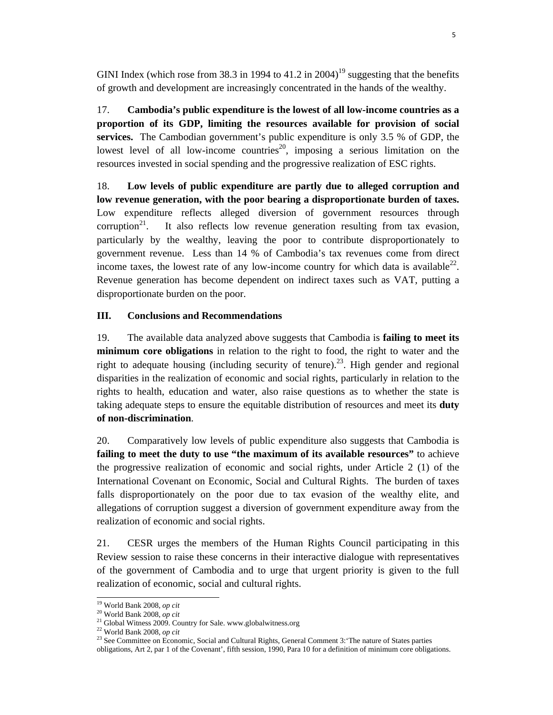GINI Index (which rose from 38.3 in 1994 to 41.2 in 2004)<sup>19</sup> suggesting that the benefits of growth and development are increasingly concentrated in the hands of the wealthy.

17. **Cambodia's public expenditure is the lowest of all low-income countries as a proportion of its GDP, limiting the resources available for provision of social services.** The Cambodian government's public expenditure is only 3.5 % of GDP, the lowest level of all low-income countries<sup>20</sup>, imposing a serious limitation on the resources invested in social spending and the progressive realization of ESC rights.

18. **Low levels of public expenditure are partly due to alleged corruption and low revenue generation, with the poor bearing a disproportionate burden of taxes.** Low expenditure reflects alleged diversion of government resources through corruption<sup>21</sup>. It also reflects low revenue generation resulting from tax evasion, particularly by the wealthy, leaving the poor to contribute disproportionately to government revenue. Less than 14 % of Cambodia's tax revenues come from direct income taxes, the lowest rate of any low-income country for which data is available<sup>22</sup>. Revenue generation has become dependent on indirect taxes such as VAT, putting a disproportionate burden on the poor.

#### **III. Conclusions and Recommendations**

19. The available data analyzed above suggests that Cambodia is **failing to meet its minimum core obligations** in relation to the right to food, the right to water and the right to adequate housing (including security of tenure).<sup>23</sup>. High gender and regional disparities in the realization of economic and social rights, particularly in relation to the rights to health, education and water, also raise questions as to whether the state is taking adequate steps to ensure the equitable distribution of resources and meet its **duty of non-discrimination**.

20. Comparatively low levels of public expenditure also suggests that Cambodia is **failing to meet the duty to use "the maximum of its available resources"** to achieve the progressive realization of economic and social rights, under Article 2 (1) of the International Covenant on Economic, Social and Cultural Rights. The burden of taxes falls disproportionately on the poor due to tax evasion of the wealthy elite, and allegations of corruption suggest a diversion of government expenditure away from the realization of economic and social rights.

21. CESR urges the members of the Human Rights Council participating in this Review session to raise these concerns in their interactive dialogue with representatives of the government of Cambodia and to urge that urgent priority is given to the full realization of economic, social and cultural rights.

<sup>&</sup>lt;sup>19</sup> World Bank 2008, *op cit*<br><sup>20</sup> World Bank 2008, *op cit*<br><sup>21</sup> Global Witness 2009. Country for Sale. www.globalwitness.org<br><sup>22</sup> World Bank 2008, *op cit* 

<sup>&</sup>lt;sup>23</sup> See Committee on Economic, Social and Cultural Rights, General Comment 3: The nature of States parties

obligations, Art 2, par 1 of the Covenant', fifth session, 1990, Para 10 for a definition of minimum core obligations.